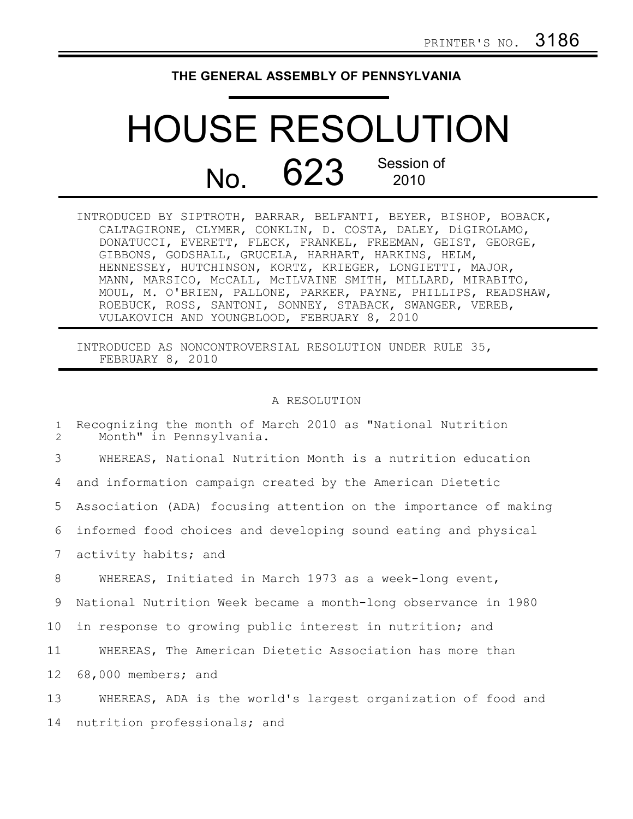## **THE GENERAL ASSEMBLY OF PENNSYLVANIA**

## HOUSE RESOLUTION No. 623 Session of 2010

| INTRODUCED BY SIPTROTH, BARRAR, BELFANTI, BEYER, BISHOP, BOBACK, |
|------------------------------------------------------------------|
| CALTAGIRONE, CLYMER, CONKLIN, D. COSTA, DALEY, DiGIROLAMO,       |
| DONATUCCI, EVERETT, FLECK, FRANKEL, FREEMAN, GEIST, GEORGE,      |
| GIBBONS, GODSHALL, GRUCELA, HARHART, HARKINS, HELM,              |
| HENNESSEY, HUTCHINSON, KORTZ, KRIEGER, LONGIETTI, MAJOR,         |
| MANN, MARSICO, MCCALL, MCILVAINE SMITH, MILLARD, MIRABITO,       |
| MOUL, M. O'BRIEN, PALLONE, PARKER, PAYNE, PHILLIPS, READSHAW,    |
| ROEBUCK, ROSS, SANTONI, SONNEY, STABACK, SWANGER, VEREB,         |
| VULAKOVICH AND YOUNGBLOOD, FEBRUARY 8, 2010                      |

INTRODUCED AS NONCONTROVERSIAL RESOLUTION UNDER RULE 35, FEBRUARY 8, 2010

## A RESOLUTION

| $\mathbf{1}$<br>$\overline{2}$ | Recognizing the month of March 2010 as "National Nutrition<br>Month" in Pennsylvania. |
|--------------------------------|---------------------------------------------------------------------------------------|
| 3                              | WHEREAS, National Nutrition Month is a nutrition education                            |
| 4                              | and information campaign created by the American Dietetic                             |
| 5                              | Association (ADA) focusing attention on the importance of making                      |
| 6                              | informed food choices and developing sound eating and physical                        |
| $7\phantom{.0}$                | activity habits; and                                                                  |
| 8                              | WHEREAS, Initiated in March 1973 as a week-long event,                                |
| 9                              | National Nutrition Week became a month-long observance in 1980                        |
| 10 <sub>1</sub>                | in response to growing public interest in nutrition; and                              |
| 11                             | WHEREAS, The American Dietetic Association has more than                              |
| 12                             | 68,000 members; and                                                                   |
| 13                             | WHEREAS, ADA is the world's largest organization of food and                          |
| 14                             | nutrition professionals; and                                                          |
|                                |                                                                                       |